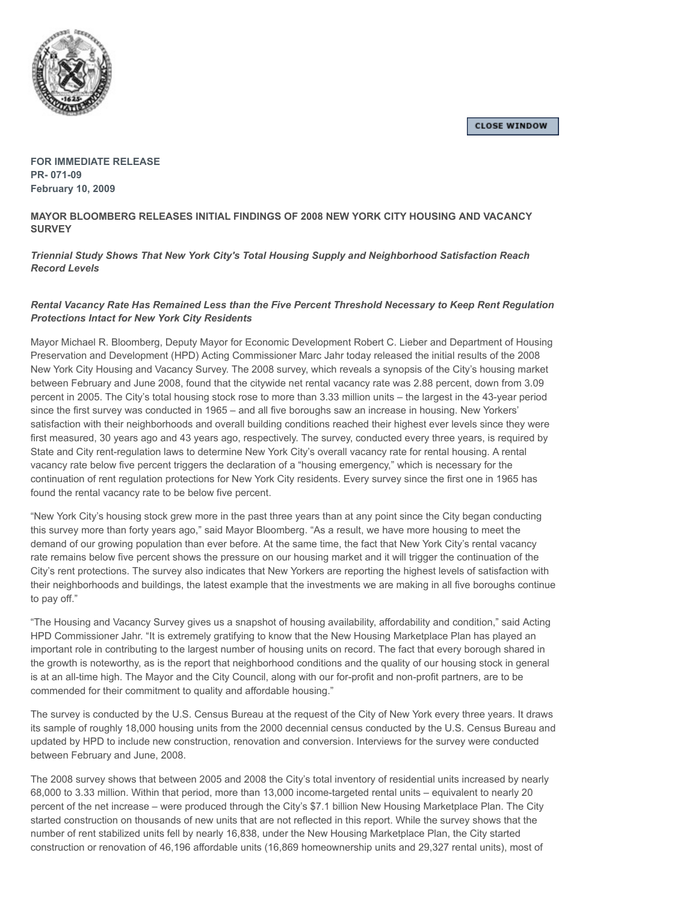**CLOSE WINDOW** 



**FOR IMMEDIATE RELEASE PR- 071-09 February 10, 2009**

# **MAYOR BLOOMBERG RELEASES INITIAL FINDINGS OF 2008 NEW YORK CITY HOUSING AND VACANCY SURVEY**

*Triennial Study Shows That New York City's Total Housing Supply and Neighborhood Satisfaction Reach Record Levels* 

# *Rental Vacancy Rate Has Remained Less than the Five Percent Threshold Necessary to Keep Rent Regulation Protections Intact for New York City Residents*

Mayor Michael R. Bloomberg, Deputy Mayor for Economic Development Robert C. Lieber and Department of Housing Preservation and Development (HPD) Acting Commissioner Marc Jahr today released the initial results of the 2008 New York City Housing and Vacancy Survey. The 2008 survey, which reveals a synopsis of the City's housing market between February and June 2008, found that the citywide net rental vacancy rate was 2.88 percent, down from 3.09 percent in 2005. The City's total housing stock rose to more than 3.33 million units – the largest in the 43-year period since the first survey was conducted in 1965 – and all five boroughs saw an increase in housing. New Yorkers' satisfaction with their neighborhoods and overall building conditions reached their highest ever levels since they were first measured, 30 years ago and 43 years ago, respectively. The survey, conducted every three years, is required by State and City rent-regulation laws to determine New York City's overall vacancy rate for rental housing. A rental vacancy rate below five percent triggers the declaration of a "housing emergency," which is necessary for the continuation of rent regulation protections for New York City residents. Every survey since the first one in 1965 has found the rental vacancy rate to be below five percent.

"New York City's housing stock grew more in the past three years than at any point since the City began conducting this survey more than forty years ago," said Mayor Bloomberg. "As a result, we have more housing to meet the demand of our growing population than ever before. At the same time, the fact that New York City's rental vacancy rate remains below five percent shows the pressure on our housing market and it will trigger the continuation of the City's rent protections. The survey also indicates that New Yorkers are reporting the highest levels of satisfaction with their neighborhoods and buildings, the latest example that the investments we are making in all five boroughs continue to pay off."

"The Housing and Vacancy Survey gives us a snapshot of housing availability, affordability and condition," said Acting HPD Commissioner Jahr. "It is extremely gratifying to know that the New Housing Marketplace Plan has played an important role in contributing to the largest number of housing units on record. The fact that every borough shared in the growth is noteworthy, as is the report that neighborhood conditions and the quality of our housing stock in general is at an all-time high. The Mayor and the City Council, along with our for-profit and non-profit partners, are to be commended for their commitment to quality and affordable housing."

The survey is conducted by the U.S. Census Bureau at the request of the City of New York every three years. It draws its sample of roughly 18,000 housing units from the 2000 decennial census conducted by the U.S. Census Bureau and updated by HPD to include new construction, renovation and conversion. Interviews for the survey were conducted between February and June, 2008.

The 2008 survey shows that between 2005 and 2008 the City's total inventory of residential units increased by nearly 68,000 to 3.33 million. Within that period, more than 13,000 income-targeted rental units – equivalent to nearly 20 percent of the net increase – were produced through the City's \$7.1 billion New Housing Marketplace Plan. The City started construction on thousands of new units that are not reflected in this report. While the survey shows that the number of rent stabilized units fell by nearly 16,838, under the New Housing Marketplace Plan, the City started construction or renovation of 46,196 affordable units (16,869 homeownership units and 29,327 rental units), most of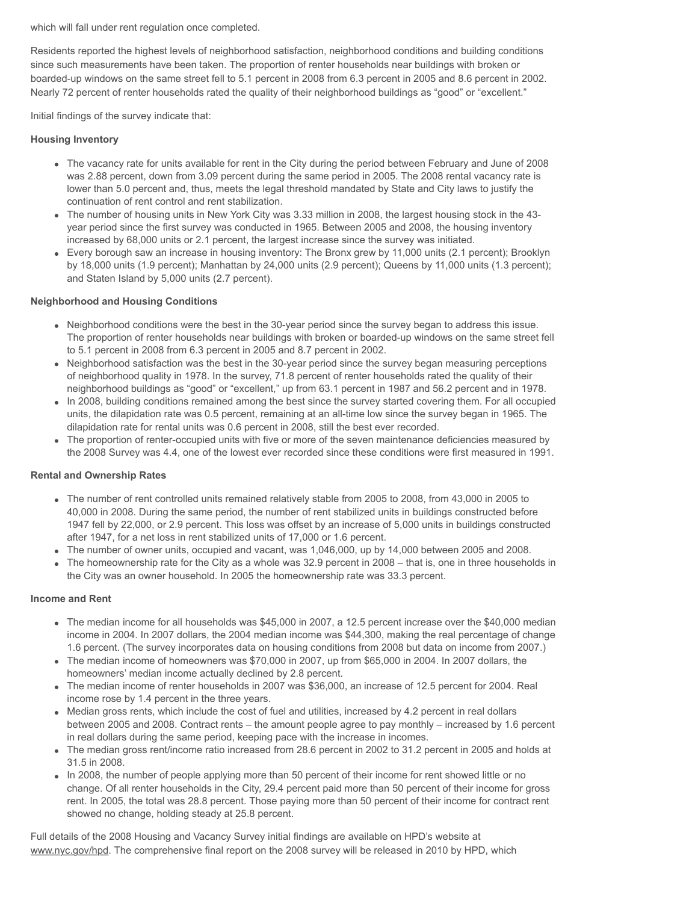which will fall under rent regulation once completed.

Residents reported the highest levels of neighborhood satisfaction, neighborhood conditions and building conditions since such measurements have been taken. The proportion of renter households near buildings with broken or boarded-up windows on the same street fell to 5.1 percent in 2008 from 6.3 percent in 2005 and 8.6 percent in 2002. Nearly 72 percent of renter households rated the quality of their neighborhood buildings as "good" or "excellent."

Initial findings of the survey indicate that:

### **Housing Inventory**

- The vacancy rate for units available for rent in the City during the period between February and June of 2008 was 2.88 percent, down from 3.09 percent during the same period in 2005. The 2008 rental vacancy rate is lower than 5.0 percent and, thus, meets the legal threshold mandated by State and City laws to justify the continuation of rent control and rent stabilization.
- The number of housing units in New York City was 3.33 million in 2008, the largest housing stock in the 43 year period since the first survey was conducted in 1965. Between 2005 and 2008, the housing inventory increased by 68,000 units or 2.1 percent, the largest increase since the survey was initiated.
- Every borough saw an increase in housing inventory: The Bronx grew by 11,000 units (2.1 percent); Brooklyn by 18,000 units (1.9 percent); Manhattan by 24,000 units (2.9 percent); Queens by 11,000 units (1.3 percent); and Staten Island by 5,000 units (2.7 percent).

### **Neighborhood and Housing Conditions**

- Neighborhood conditions were the best in the 30-year period since the survey began to address this issue. The proportion of renter households near buildings with broken or boarded-up windows on the same street fell to 5.1 percent in 2008 from 6.3 percent in 2005 and 8.7 percent in 2002.
- Neighborhood satisfaction was the best in the 30-year period since the survey began measuring perceptions of neighborhood quality in 1978. In the survey, 71.8 percent of renter households rated the quality of their neighborhood buildings as "good" or "excellent," up from 63.1 percent in 1987 and 56.2 percent and in 1978.
- In 2008, building conditions remained among the best since the survey started covering them. For all occupied units, the dilapidation rate was 0.5 percent, remaining at an all-time low since the survey began in 1965. The dilapidation rate for rental units was 0.6 percent in 2008, still the best ever recorded.
- The proportion of renter-occupied units with five or more of the seven maintenance deficiencies measured by the 2008 Survey was 4.4, one of the lowest ever recorded since these conditions were first measured in 1991.

#### **Rental and Ownership Rates**

- The number of rent controlled units remained relatively stable from 2005 to 2008, from 43,000 in 2005 to 40,000 in 2008. During the same period, the number of rent stabilized units in buildings constructed before 1947 fell by 22,000, or 2.9 percent. This loss was offset by an increase of 5,000 units in buildings constructed after 1947, for a net loss in rent stabilized units of 17,000 or 1.6 percent.
- The number of owner units, occupied and vacant, was 1,046,000, up by 14,000 between 2005 and 2008.
- The homeownership rate for the City as a whole was 32.9 percent in 2008 that is, one in three households in the City was an owner household. In 2005 the homeownership rate was 33.3 percent.

#### **Income and Rent**

- The median income for all households was \$45,000 in 2007, a 12.5 percent increase over the \$40,000 median income in 2004. In 2007 dollars, the 2004 median income was \$44,300, making the real percentage of change 1.6 percent. (The survey incorporates data on housing conditions from 2008 but data on income from 2007.)
- The median income of homeowners was \$70,000 in 2007, up from \$65,000 in 2004. In 2007 dollars, the homeowners' median income actually declined by 2.8 percent.
- The median income of renter households in 2007 was \$36,000, an increase of 12.5 percent for 2004. Real income rose by 1.4 percent in the three years.
- Median gross rents, which include the cost of fuel and utilities, increased by 4.2 percent in real dollars between 2005 and 2008. Contract rents – the amount people agree to pay monthly – increased by 1.6 percent in real dollars during the same period, keeping pace with the increase in incomes.
- The median gross rent/income ratio increased from 28.6 percent in 2002 to 31.2 percent in 2005 and holds at 31.5 in 2008.
- In 2008, the number of people applying more than 50 percent of their income for rent showed little or no change. Of all renter households in the City, 29.4 percent paid more than 50 percent of their income for gross rent. In 2005, the total was 28.8 percent. Those paying more than 50 percent of their income for contract rent showed no change, holding steady at 25.8 percent.

Full details of the 2008 Housing and Vacancy Survey initial findings are available on HPD's website at [www.nyc.gov/hpd.](http://www.nyc.gov/hpd) The comprehensive final report on the 2008 survey will be released in 2010 by HPD, which